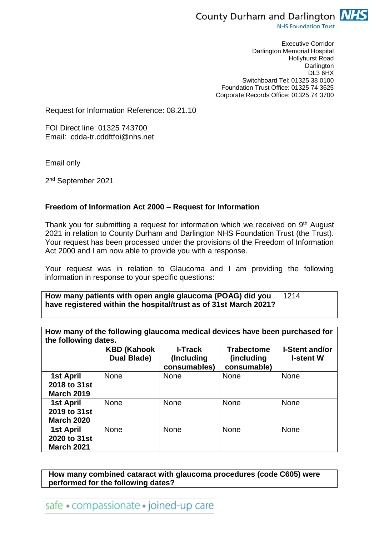

**NHS Foundation Trust** 

Executive Corridor Darlington Memorial Hospital Hollyhurst Road Darlington DL3 6HX Switchboard Tel: 01325 38 0100 Foundation Trust Office: 01325 74 3625 Corporate Records Office: 01325 74 3700

Request for Information Reference: 08.21.10

FOI Direct line: 01325 743700 Email: cdda-tr.cddftfoi@nhs.net

Email only

2<sup>nd</sup> September 2021

## **Freedom of Information Act 2000 – Request for Information**

Thank you for submitting a request for information which we received on 9<sup>th</sup> August 2021 in relation to County Durham and Darlington NHS Foundation Trust (the Trust). Your request has been processed under the provisions of the Freedom of Information Act 2000 and I am now able to provide you with a response.

Your request was in relation to Glaucoma and I am providing the following information in response to your specific questions:

| How many patients with open angle glaucoma (POAG) did you   1214 |  |
|------------------------------------------------------------------|--|
| have registered within the hospital/trust as of 31st March 2021? |  |

| How many of the following glaucoma medical devices have been purchased for |
|----------------------------------------------------------------------------|
| the following dates.                                                       |

| ulu lulluwiliy uduu.                           |                                    |                                              |                                                |                                           |  |
|------------------------------------------------|------------------------------------|----------------------------------------------|------------------------------------------------|-------------------------------------------|--|
|                                                | <b>KBD (Kahook)</b><br>Dual Blade) | <b>I-Track</b><br>(Including<br>consumables) | <b>Trabectome</b><br>(including<br>consumable) | <b>I-Stent and/or</b><br><b>I-stent W</b> |  |
| 1st April<br>2018 to 31st<br><b>March 2019</b> | <b>None</b>                        | <b>None</b>                                  | <b>None</b>                                    | <b>None</b>                               |  |
| 1st April<br>2019 to 31st<br><b>March 2020</b> | <b>None</b>                        | <b>None</b>                                  | <b>None</b>                                    | <b>None</b>                               |  |
| 1st April<br>2020 to 31st<br><b>March 2021</b> | <b>None</b>                        | <b>None</b>                                  | <b>None</b>                                    | <b>None</b>                               |  |

**How many combined cataract with glaucoma procedures (code C605) were performed for the following dates?** 

safe • compassionate • joined-up care